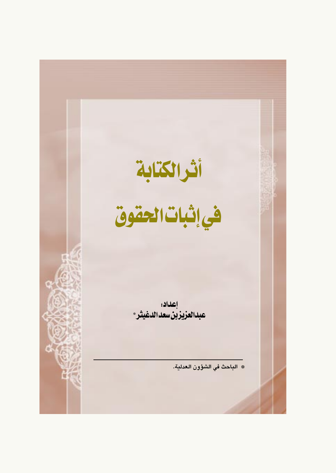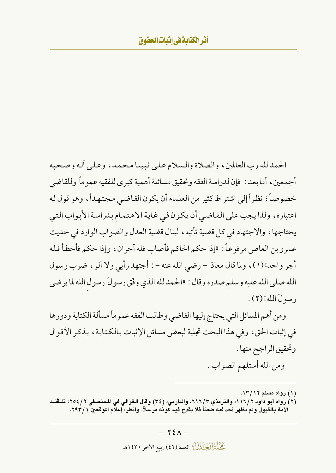الحمد لله رب العالمين ، والصلاة والسلام على نبينا محمد ، وعلى أله وصحبه أجمعين ، أما بعد : فإن لدراسة الفقه وتحقيق مسائلة أهمية كبر ي للفقيه عمو ماً و للقاضه ِ ٫ خصوصاً؛ نظراً إلى اشتراط كثير من العلماء أن يكون القاضبي مجتهداً، وهو قول له اعتباره، ولذا يجب على القاضي أن يكون في غاية الاهتمام بدراسة الأبواب التي يحتاجها ، والاجتهاد في كل قضية تأتيه ، لينال قضية العدل والصواب الوارد في حديث عمرو بن العاص مرفوعاً : «إذا حكم الحاكم فأصاب فله أجران ، وإذا حكم فأخطأ فله أجر واحد»(١)، ولما قال معاذ – رضي الله عنه – : أجتهد رأيي ولا آلو ، ضرب رسول الله صلى الله عليه وسلم صدره وقال : «الحمد لله الذي وفَّقٍ رسولَ رسول الله لما يرضي رسولَ الله»(٢).

ومن أهم المسائل التي يحتاج إليها القاضي وطالب الفقه عموماً مسألة الكتابة ودورها في إثبات الحق، وفي هذا البحث تجلية لبعض مسائل الإثبات بالكتابة، بذكر الأقوال وتحقيق الراجح منها . ومن الله أستلهم الصواب .

<sup>(</sup>۱) رواه مسلم ۱۳/۱۲.

<sup>(</sup>٢) رواه أبو داود ٢ /١١٦، والترمذي ٢/ ٦١٦، والدارمي، (٣٤) وقال الغزالي في المستصفى ٢ / ٢٥٤: تلـقَتــه الأمة بالقبول ولم يظهر أحد فيه طعناً فلا يقدح فيه كونه مرسلاً. وانظر: إعلام الموقعين ٢٩٣/١.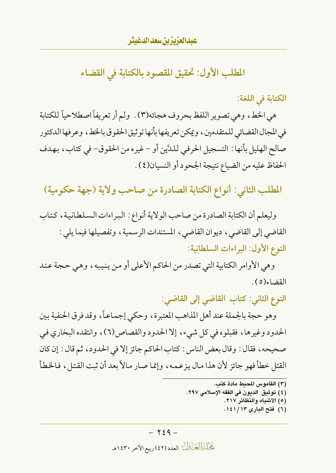المطلب الأول: تحقيق المقصود بالكتابة في القضاء

الكتابة في اللغة:

هي الخط، وهي تصوير اللفظ بحروف هجائه(٣). ولم أر تعريفاً اصطلاحياً للكتابة في المجال القضائي للمتقدمين ، ويمكن تعريفها بأنها توثيق الحقوق بالخط ، وعرفها الدكتور صالح الهليل بأنها : التسجيل الحرفي للدَّين أو – غيره من الحقوق- في كتاب، بهدف الحفاظ عليه من الضياع نتيجة الجحود أو النسيان(٤) .

المطلب الثاني: أنواع الكتابة الصادرة من صاحب ولاية (جهة حكومية)

وليعلم أن الكتابة الصادرة من صاحب الولاية أنواع : البراءات السلطانية، كتاب القاضي إلى القاضي، ديوان القاضي، المستندات الرسمية، وتفصيلها فيما يلي : النوع الأول: البراءات السلطانية:

وهي الأوامر الكتابية التي تصدر من الحاكم الأعلى أو من ينيبه، وهي حجة عند القضاء(٥).

النوع الثاني: كتاب القاضى إلى القاضى:

وهو حجة بالجملة عند أهل المذاهب المعتبرة، وحكى إجماعاً، وقد فرق الحنفية بين الحدود وغيرها، فقبلوه في كل شيء، إلا الحدود والقصاص(٦)، وانتقده البخاري في صحيحه، فقال: وقال بعض الناس: كتاب الحاكم جائز إلا في الحدود، ثم قال: إن كان القتل خطأ فهو جائز لأن هذا مال يزعمه، وإنما صار مالاً بعد أن ثبت القتل، فالخطأ

- (٣) القاموس المحيط مادة كتب.
- (٤) توثيق الدبون في الفقه الإسلامي ٢٩٧.
	- (٥) الأشباه والنظائر ٢١٧.
	- (٦) فتح الباري ١٤١/١٣.

بَحَيْلَةَ الْجَيَهْلُ العدد (٤٢) ربيع الآخر ١٤٣٠هـ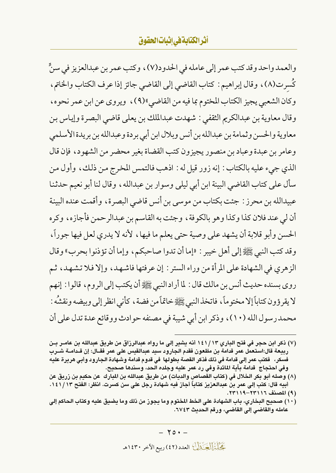### أثرالكتابةفي إثبات الحقوق

والعمد واحد وقد كتب عمر إلى عامله في الحدود(٧) ، وكتب عمر بن عبدالعزيز في سنٍّ كُسرت(٨)، وقال إبراهيم : كتاب القاضي إلى القاضي جائز إذا عرف الكتاب والخاتم، وكان الشعبي يجيز الكتاب المختوم بما فيه من القاضي»(٩)، ويروى عن ابن عمر نحوه، وقال معاوية بن عبدالكريم الثقفي : شهدت عبدالملك بن يعلي قاضي البصرة وإياس بن معاوية والحسن وثمامة بن عبدالله بن أنس وبلال ابن أبي بردة وعبدالله بن بريدة الأسلمي وعامر بن عبدة وعباد بن منصور يجيزون كتب القضاة بغير محضر من الشهود، فإن قال الذي جيء عليه بالكتاب : إنه زور قيل له : اذهب فالتمس المخرج من ذلك، وأول من سأل على كتاب القاضي البينة ابن أبي ليلي وسوار بن عبدالله ، وقال لنا أبو نعيم حدثنا عبيدالله بن محرز : جئت بكتاب من موسى بن أنس قاضى البصرة، وأقمت عنده البينة أن لي عند فلان كذا وكذا وهو بالكوفة ، وجئت به القاسم بن عبدالرحمن فأجازه ، وكره الحسن وأبو قلابة أن يشهد على وصية حتى يعلم ما فيها، لأنه لا يدري لعل فيها جوراً، وقد كتب النبي ﷺ إلى أهل خيبر : «إما أن تدوا صاحبكم، وإما أن تؤذنوا بحرب» وقال الزهري في الشهادة على المرأة من وراء الستر : إن عرفتها فاشهد، وإلا فلا تشهد، ثم روى بسنده حديث أنس بن مالك قال : لما أراد النبي ﷺ أن يكتب إلى الروم، قالوا : إنهم لا يقرؤون كتاباً إلا مختوماً، فاتخذ النبي ﷺ خاتماً من فضة ، كأني انظر إلى وبيضه ونقشُه : محمد رسول الله (١٠)، وذكر ابن أبي شيبة في مصنفه حوادث ووقائع عدة تدل على أن

- (٧) ذكر ابن حجر في فتح الباري ١٤١/١٣ أنه يشير إلى ما رواه عبدالرزاق من طريق عبدالله بن عامـر بـن ربيعة قال:استعمل عمر قدامة بن مظعون فقدم الجارود سيد عبدالقيس على عمر فقــال: إن قــدامــة شــرب فسكر، فكتب عمر إلى قدامة في ذلك فذكر القصة بطولها في قدوم قدامة وشهادة الجارود وأبي هريرة عليه وفي احتجاج قدامة بآية المائدة وفي رد عمر عليه وجلده الحد، وسندها صحيح.
- (٨) وصله أبو بكر الخلال في (كتاب القصاص والديات) من طريق عبدالله بن البارك عن حكيم بن زريق عن أبيه قال: كتب إلى عمر بن عبدالعزيز كتاباً أجاز فيه شهادة رجل على سن كسرت. انظر: الفتح ١٤١/١٣. (۹) المصنف ١٢٣١١٦-٢٣١١٩.
- (١٠) صحيح البخاري، باب الشهادة على الخط المختوم وما يجوز من ذلك وما يضيق عليه وكتاب الحاكم إلى عامله والقاضي إلى القاضي، ورقم الحديث ٦٧٤٣.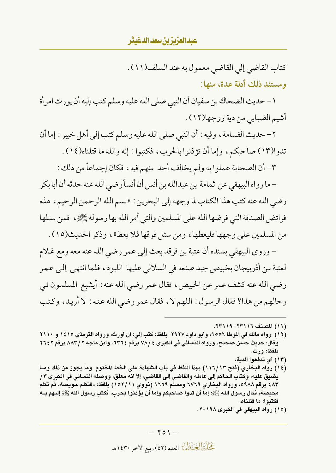عيدالعزيز بن سعد الدغيثر

كتاب القاضي إلى القاضي معمول به عند السلف(١١) . ومستند ذلك أدلة عدة، منها:

١ – حديث الضحاك بن سفيان أن النبي صلى الله عليه وسلم كتب إليه أن يورث امرأة أشيم الضبابي من دية زوجها(١٢) .

٢- حديث القسامة ، وفيه : أن النبي صلى الله عليه وسلم كتب إلى أهل خيبر : إما أن تدوا(١٣) صاحبكم، وإما أن تؤذنوا بالحرب، فكتبوا: إنه والله ما قتلناه(١٤).

٣- أن الصحابة عملوا به ولم يخالف أحد منهم فيه، فكان إجماعاً من ذلك :

– ما رواه البيهقي عن ثمامة بن عبدالله بن أنس أن أنسأرضي الله عنه حدثه أن أبا بكر رضي الله عنه كتب هذا الكتاب لما وجهه إلى البحرين : «بسم الله الرحمن الرحيم، هذه فرائض الصدقة التي فرضها الله على المسلمين والتي أمر الله بها رسوله ﷺ، فمن سئلها من المسلمين على وجهها فليعطها، ومن سئل فوقها فلا يعط»، وذكر الحديث(١٥) .

– وروى البيهقي بسنده أن عتبة بن فرقد بعث إلى عمرٍ رضي الله عنه معه ومع غلام لعتبة من أذربيجان بخبيص جيد صنعه في السلالي عليها اللبود، فلما انتهى إلى عمر رضي الله عنه كشف عمر عن الخبيص، فقال عمر رضي الله عنه : أيشبع المسلمون في رحالهم من هذا؟ فقال الرسول: اللهم لا، فقال عمر رضي الله عنه: لا أريد، وكتب

- (١٣) أي تدفعوا الدبة.
- (١٤) رواه البخاري (فتح ١٣٦/١٣) بهذا اللفظ في باب الشهادة على الخط المختوم وما بجوز من ذلك ومـا بضبق عليه، وكتاب الحاكم إلى عامله والقاضي إلى القاضي، إلا أنه معلق، ووصله النسائي في الكبرى ٣/ ٤٨٣ برقم ٥٩٨٨، ورواه البخاري ٦٧٦٩ ومسلم ١٦٦٩ (نووي ١٥٢/١١) بلفظ: «فتكلم حويصة، ثم تكلم محيصة، فقال رسول الله ﷺ: إما أن تدوا صاحبكم وإما أن يؤذنوا بحرب، فكتب رسول الله ﷺ إليهم بــه فكتبوا: ما قتلناه.
	- (١٥) رواه البيهقي في الكبرى ٢٠١٩٨.

<sup>(</sup>١١) المصنف ١١٦٣٦-١١٩٩.

<sup>(</sup>١٢) رواه مالك في الموطأ ١٥٥٦، وأبو داود ٢٩٢٧ بلفظ: كتب إلى: أن أورث، ورواه الترمذي ١٤١٥ و ٢١١٠ وقال: حديث حسن صحيح، ورواه النسائي في الكبرى ٤ /٧٨ برقم ٣٦٤٢، وابن ماجه ٢ / ٨٨٣ برقم ٢٦٤٢ ىلفظ: ورث.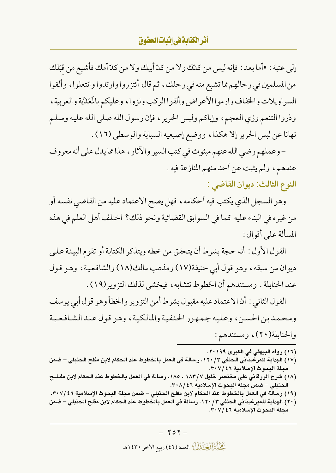## أثرالكتابةفي إثبات الحقوق

إلى عتبة : «أما بعد : فإنه ليس من كلَّك ولا من كلَّ أبيك ولا من كلَّ أمك فأشبع من قبَلك من المسلمين في رحالهم مما تشبع منه في رحلك، ثم قال أئتزروا وارتدوا وانتعلوا، وألقوا السراويلات والخفاف وارموا الأعراض وألقوا الركب ونزوا ، وعليكم بالمَعَدِّية والعربية ، وذروا التنعم وزي العجم، وإياكم ولبس الحرير ، فإن رسول الله صلى الله عليه وسلم نهانا عن لبس الحرير إلا هكذا، ووضع إصبعيه السبابة والوسطى (١٦) .

- وعملهم رضي الله عنهم مبثوث في كتب السير والآثار ، هذا مما يدل على أنه معروف عندهم، ولم يثبت عن أحد منهم المنازعة فيه .

النوع الثالث: ديوان القاضي :

وهو السجل الذي يكتب فيه أحكامه ، فهل يصح الاعتماد عليه من القاضي نفسه أو من غيره في البناء عليه كما في السوابق القضائية ونحو ذلك؟ اختلف أهل العلم في هذه المسألة على أقوال:

القول الأول : أنه حجة بشرط أن يتحقق من خطه ويتذكر الكتابة أو تقوم البينة على ديوان من سبقه، وهو قول أبي حنيفة(١٧) ومذهب مالك(١٨) والشافعية، وهو قول عند الحنابلة . ومستندهم أن الخطوط تتشابه ، فيخشى لذلك التزوير (١٩) .

القول الثاني : أن الاعتماد عليه مقبول بشرط أمن التزوير والخطأ وهو قول أبي يوسف ومحمدبن الحسن، وعليه جمهور الحنفية والمالكية، وهو قول عند الشافعية والحنابلة(٢٠)، ومستندهم:

- (١٦) رواه البيهقي في الكبرى ٢٠١٩٩.
- (١٧) الهداية للمرغيناني الحنفي ١٢٠/٣، رسالة في العمل بالخطوط عند الحكام لابن مفلح الحنبلي ضمن مجلة البحوث الإسلامية ٣٠٧/٤٦.
- (١٨) شرح الزرقاني على مختصر خليل ١٨٣/٧ ، ١٨٥، رسالة في العمل بالخطوط عند الحكام لابن مفـلــح الحنبلي – ضمن مجلة البحوث الإسلامية ٢٠٨/٤٦.
- (١٩) رسالة في العمل بالخطوط عند الحكام لابن مفلح الحنبلي ضمن مجلة البحوث الإسلامية ٣٠٧/٤٦.
- (٢٠) الهداية للميرغيناني الحنفي ١٢٠/٣، رسالة في العمل بالخطوط عند الحكام لابن مفلح الحنبلي ضمن مجلة البحوث الإسلامية ٣٠٧/٤٦.

كَحَلْتُمَالُكَ ذَلِكَ العدد (٤٢) ربيع الآخر ١٤٣٠هـ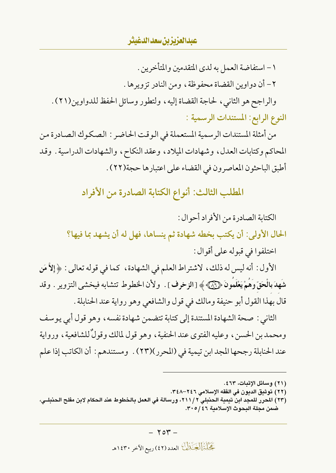### عبدالعزيزين سعدالدغيثر

١ – استفاضة العمل به لدى المتقدمين والمتأخرين .

٢- أن دواوين القضاة محفوظة، ومن النادر تزويرها .

والراجح هو الثاني، لحاجة القضاة إليه، ولتطور وسائل الحفظ للدواوين(٢١). النوع الرابع: المستندات الرسمية :

من أمثلة المستندات الرسمية المستعملة في الوقت الحاضر : الصكوك الصادرة من المحاكم وكتابات العدل، وشهادات الميلاد، وعقد النكاح، والشهادات الدراسية . وقد أطبق الباحثون المعاصرون في القضاء على اعتبارها حجة(٢٢) .

المطلب الثالث: أنواع الكتابة الصادرة من الأفراد

الكتابة الصادرة من الأفراد أحوال:

الحال الأولى: أن يكتب بخطه شهادة ثم ينساها، فهل له أن يشهد بما فيها؟

اختلفوا في قبوله على أقوال :

الأول : أنه ليس له ذلك، لاشتراط العلم في الشهادة، كما في قوله تعالى : ﴿إِلاَّ مَنِ شَهدَ بِالْحَقِّ وَهُمْ يَعْلَمُونَ ﴿ آَيَى ﴾ [الزخرف] . ولأن الخطوط تتشابه فيخشى التزوير . وقد قال بهذا القول أبو حنيفة ومالك في قول والشافعي وهو رواية عند الحنابلة .

الثاني : صحة الشهادة المستندة إلى كتابة تتضمن شهادة نفسه ، وهو قول أبي يوسف ومحمد بن الحسن، وعليه الفتوى عند الحنفية، وهو قول لمالك وقولٌ للشافعية، ورواية عند الحنابلة رجحها المجد ابن تيمية في (المحرر)(٢٣) . ومستندهم : أن الكاتب إذا علم

تَحَلَّلْتَمَالُ يَتَمَلَّكُ العدد (٤٢) ربيع الآخر ١٤٣٠هـ

<sup>(</sup>٢١) وسائل الإثبات، ٤٦٣.

<sup>(</sup>٢٢) توثيق الديون في الفقه الإسلامي ٢٤٦–٣٤٨.

<sup>(</sup>٢٣) الحرر للمجد ابن تيمية الحنبلي ٢١١/ ٢١، ورسالة في العمل بالخطوط عند الحكام لابن مفلح الحنبلـي، ضمن مجلة البحوث الإسلامية ٣٠٥/٤٦.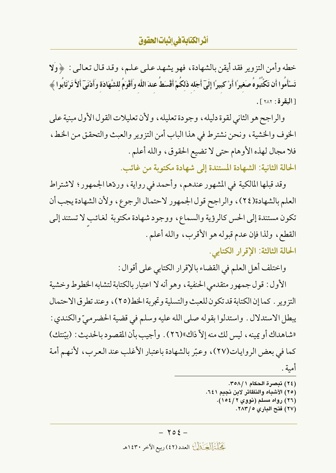### أثرالكتابةفي إثبات الحقوق

خطه وأمن التزوير فقد أيقن بالشهادة، فهو يشهد على عليم، وقد قال تعالى : ﴿وَلَا تَسْأَمُوا أَن تَكْتُبُوهُ صَغيرًا أَوْ كبيرًا إِلَيَّ أَجَله ذَلِكُمْ أَقْسَطُ عندَ اللَّه وأَقْوَمُ للشَّهَادَة وأَدْنَيّ أَلاَّ تَرْتَابُوا ﴾ [البقرة: ٢٨٢].

والراجح هو الثاني لقوة دليله، وجودة تعليله، ولأن تعليلات القول الأول مبنية على الخوف والخشية ، ونحن نشترط في هذا الباب أمن التزوير والعبث والتحقق من الخط ، فلا مجال لهذه الأوهام حتى لا تضيع الحقوق، والله أعلم .

الحالة الثانية: الشهادة المستندة إلى شهادة مكتوبة من غائب.

وقد قبلها المالكية في المشهور عندهم، وأحمد في رواية، وردّها الجمهور؛ لاشتراط العلم بالشهادة(٢٤)، والراجح قول الجمهور لاحتمال الرجوع، ولأن الشهادة يجب أن تكون مستندة إلى الحس كالرؤية والسماع، ووجود شهادة مكتوبة لغائب لا تستند إلى القطع، ولذا فإن عدم قبوله هو الأقرب، والله أعلم. الحالة الثالثة: الإقرار الكتابي.

واختلف أهل العلم في القضاء بالإقرار الكتابي على أقوال :

الأول : قول جمهور متقدمي الحنفية ، وهو أنه لا اعتبار بالكتابة لتشابه الخطوط وخشية التزوير . كما إن الكتابة قد تكون للعبث والتسلية وتجربة الخط(٢٥)، وعند تطرق الاحتمال يبطل الاستدلال . واستدلوا بقوله صلى الله عليه وسلم في قضية الحضر ميِّ والكندي : «شاهداك أو يمينه ، ليس لك منه إلاّ ذاك»(٢٦) . وأجيب بأن المقصود بالحديث : (بيّنتك) كما في بعض الروايات(٢٧)، وعبّر بالشهادة باعتبار الأغلب عند العرب، لأنهم أمة أمية .

- (٢٦) رواه مسلم (نووي ١٥٤/٢).
	- (٢٧) فتح الباري ٥ / ٢٨٣.

كَحَلْتُمَالُكَ ذَلِكَ العدد (٤٢) ربيع الآخر ١٤٣٠هـ

<sup>(</sup>٢٤) تبصرة الحكام ٣٥٨/١. (٢٥) الأشباه والنظائر لابن نجيم ٦٤١.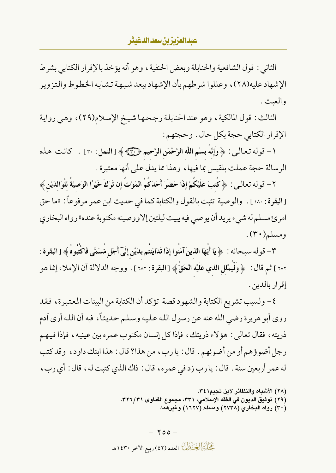الثاني : قول الشافعية والحنابلة وبعض الحنفية ، وهو أنه يؤخذ بالإقرار الكتابي بشرط الإشهاد عليه(٢٨)، وعللوا شرطهم بأن الإشهاد يبعد شبهة تشابه الخطوط والتزوير و العيث .

الثالث: قول المالكية، وهو عند الحنابلة رجحها شيخ الإسلام(٢٩)، وهي رواية الإقرار الكتابي حجة بكل حال . وحجتهم :

١ - قوله تعالى: ﴿ وَإِنَّهُ بِسْمِ اللَّهِ الرَّحْمَنِ الرَّحِيمِ ﴿ إِنَّيْ ﴾ [ النمل : ٢٠] . كانت هذه الرسالة حجة عملت بلقيس بما فيها، وهذا مما يدل على أنها معتبرة .

٢ – قوله تعالى : ﴿ كَتبَ عَلَيْكُمْ إِذَا حَضَرَ أَحَدَكُمُ الْمَوْتَ إِن تَرَكَ خَيْرًا الْوَصِيَّةَ للْوَالدَيْنِ﴾ [البقرة: ١٨٠]. والوصية تثبت بالقول والكتابة كما في حديث ابن عمر مرفوعاً: «ما حق امرئ مسلم له شيء يريد أن يوصى فيه يبيت ليلتين إلاووصيته مكتوبة عنده» رواه البخاري ومسلم(۳۰).

٣- قوله سبحانه : ﴿ يَا أَيُّهَا الَّذِينَ آمَنُوا إِذَا تَدَايَنتُم بدَيْنِ إِلَىٓ أَجَلٍ مُّسَمًّى فَاكْتُبوهُ﴾ [البقرة : ٢٨٢ ] ثم قال : ﴿ وَلْيُمْلِلِ الذي عَلَيْهِ الْحَقُّ ﴾ [ البقرة : ٢٨٢ ] . ووجه الدلالة أن الإملاء إنما هو إقرار بالدين .

٤- ولسبب تشريع الكتابة والشهود قصة تؤكد أن الكتابة من البينات المعتبرة، فقد روى أبو هريرة رضي الله عنه عن رسول الله عليه وسلم حديثاً، فيه أن الله أرى آدم ذريته ، فقال تعالى : هؤ لاء ذريتك ، فإذا كل إنسان مكتوب عمر ه بين عينيه ، فإذا فيهـم رجل أضوؤهم أو من أضوئهم . قال : يارب، من هذا؟ قال : هذا ابنك داود، وقد كتب له عمر أربعين سنة . قال : يا رب زد في عمره، قال : ذاك الذي كتبت له، قال : أي رب،

- (٢٨) الأشباه والنظائر لابن نجيم ٣٤١.
- (٢٩) توثيق الديون في الفقه الإسلامي، ٣٣١، مجموع الفتاوى ٣٢٦/٣١.
	- (۳۰) رواه البخاري (۲۷۳۸) ومسلم (۱٦۲۷) وغیرهما.

تَحَلَّمَ الْمَجَنَّذِلَكَ العدد (٤٢) ربيع الآخر ١٤٣٠هـ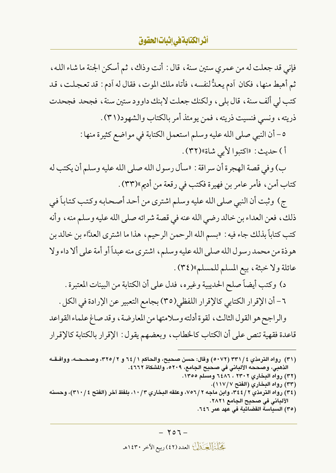# أ**ثر الكتابة في إثبات الحقوق**

فإني قد جعلت له من عمري ستين سنة ، قال : أنت وذاك ، ثم أسكن الجنة ما شاء الله ، ثم أهبط منها، فكان آدم يعدُّ لنفسه، فأتاه ملك الموت، فقال له آدم: قد تعجلت، قد كتب لي ألف سنة ، قال بلي ، ولكنك جعلت لابنك داوود ستين سنة ، فجحد فجحدت ذريته ، ونسى فنسيت ذريته ، فمن يومئذ أمر بالكتاب والشهو د(٣١) .

> ٥- أن النبي صلى الله عليه وسلم استعمل الكتابة في مواضع كثيرة منها : أ ) حديث : «اكتبوا لأبي شاة»(٣٢) .

ب) وفي قصة الهجرة أن سراقة : «سأل رسول الله صلى الله عليه وسلم أن يكتب له كتاب أمن، فأمر عامر بن فهيرة فكتب في رقعة من أديم»(٣٣) .

ج) وثبت أن النبي صلى الله عليه وسلم اشترى من أحد أصحابه وكتب كتاباً في ذلك، فعن العداء بن خالد رضي الله عنه في قصة شرائه صلى الله عليه وسلم منه، وأنه كتب كتاباً بذلك جاء فيه : «بسم الله الرحمن الرحيم، هذا ما اشترى العدَّاء بن خالد بن هو ذة من محمد رسول الله صلى الله عليه وسلم، اشترى منه عبداً أو أمة على ألا داء ولا عائلة ولا خبثة، بيع المسلم للمسلم»(٣٤).

د) وكتب أيضاً صلح الحديبية وغيره، فدل على أن الكتابة من البينات المعتبرة. ٦- أن الإقرار الكتابي كالإقرار اللفظي(٣٥) بجامع التعبير عن الإرادة في الكل . والراجح هو القول الثالث، لقوة أدلته وسلامتها من المعارضة، وقد صاغ علماء القواعد

قاعدة فقهية تنص على أن الكتاب كالخطاب، وبعضهم يقول: الإقرار بالكتابة كالإقرار

- (۳۲) رواه البخاري ۲۳۰۲ ، ۱۳۵۲ ومسلم ۱۳۵۵.
	- (٣٣) رواه البخاري (الفتح ١١٧/٧).
- (٣٤) رواه الترمذي ٢ / ٣٤٤، وابن ماجه ٢ / ٧٥٦، وعلقه البخاري ١٠ / ١٠، بلفظ آخر (الفتح ٢١٠ /٤)، وحسنه الألباني في صحيح الجامع ٢٨٢١. (٣٥) السياسة القضائية في عهد عمر ٦٤٦.
	- $-707-$

كَحَلْتُمَالُكَ ذَلِكَ العدد (٤٢) ربيع الآخر ١٤٣٠هـ

<sup>(</sup>٣١) رواه الترمذي ٤ /٣٣١ (٥٠٧٢ ) وقال: حسن صحيح، والحاكم ١ / ٦٤ و ٣٢٥/٢، وصحــحــه، ووافــقــه الذهبي، وصححه الألباني في صحيح الجامع، ٥٢٠٩، والمشكاة ٢٦٦٢ .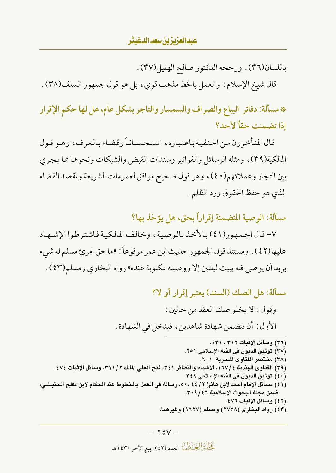باللسان(٣٦) . ورجحه الدكتور صالح الهليل(٣٧) .

قال شيخ الإسلام: والعمل بالخط مذهب قوى، بل هو قول جمهور السلف(٣٨) .

\* مسألة: دفاتر البياع والصراف والسمسار والتاجر بشكل عام، هل لها حكم الإقرار إذا تضمنت حقاً لأحد؟

قال المتأخرون من الحنفية باعتباره، استحساناً وقضاء بالعرف، وهو قول المالكية(٣٩)، ومثله الرسائل والفواتير وسندات القبض والشيكات ونحوها مما يجري بين التجار وعملائهم(٤٠)، وهو قول صحيح موافق لعمومات الشريعة ولمقصد القضاء الذي هو حفظ الحقوق ورد الظلم .

مسألة: الوصية المتضمنة إقراراً بحق، هل يؤخذ بها؟

٧- قال الجمهور(٤١) بالأخذ بالوصية، وخالف المالكية فاشتر طوا الإشبهاد عليها(٤٢) . ومستند قول الجمهور حديث ابن عمر مر فوعاً : «ما حق امرئ مسلم له شيء يريد أن يوصى فيه يبيت ليلتين إلا ووصيته مكتوبة عنده» رواه البخاري ومسلم(٤٣) .

مسألة: هل الصك (السند) يعتبر إقرار أو لا؟

وقول: لا يخلو صك العقد من حالين: الأول : أن يتضمن شهادة شاهدين، فيدخل في الشهادة .

(٣٦) وسائل الإثبات ٣١٢ ، ٤٣١. (٣٧) توثيق الديون في الفقه الإسلامي ٢٥١. (٣٨) مختصر الفتاوى المصرية ٦٠١. (٣٩) الفتاوى الهندية ١٦٧/٤، الأشباه والنظائر ٣٤١، فتح العلي المالك ٣١١/٢، وسائل الإثبات ٤٧٤. (٤٠) توثبق الديون في الفقه الإسلامي ٣٤٩. (٤١) مسائل الإمام أحمد لابن هانيٌّ ٢ / ٤٤ ، ٥٠، رسالة في العمل بالخطوط عند الحكام لابن مفلح الحنبـلـي، ضمن مجلة البحوث الإسلامية ٣٠٩/٤٦. (٤٢) وسائل الإثبات ٤٧٦. (٤٣) رواه البخاري (٢٧٣٨) ومسلم (١٦٢٧) وغيرهما.

تَحَلَّمَ الْمَجَنَّذِلَكَ العدد (٤٢) ربيع الآخر ١٤٣٠هـ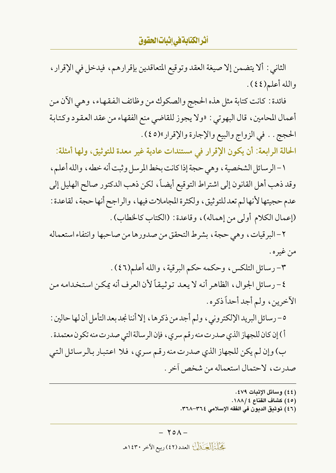أ**ثر الكتابة في إثبات الحقوق** 

الثاني : ألا يتضمن إلا صيغة العقد وتوقيع المتعاقدين بإقرارهم، فيدخل في الإقرار ، والله أعلم(٤٤).

فائدة : كانت كتابة مثل هذه الحجج والصكوك من وظائف الفقهاء، وهي الأن من أعمال المحامين، قال البهوتي : «ولا يجوز للقاضي منع الفقهاء من عقد العقود وكتابة الحجج . . في الزواج والبيع والإجارة والإقرار»(٤٥).

الحالة الرابعة: أن يكون الإقرار في مستندات عادية غير معدة للتوثيق، ولها أمثلة:

١ – الرسائل الشخصية ، وهي حجة إذا كانت بخط المرسل وثبت أنه خطه ، والله أعلم ، وقد ذهب أهل القانون إلى اشتراط التوقيع أيضاً، لكن ذهب الدكتور صالح الهليل إلى عدم حجيتها لأنهالم تعدللتوثيق، ولكثرة المجاملات فيها، والراجح أنها حجة، لقاعدة : (إعمال الكلام أولى من إهماله)، وقاعدة: (الكتاب كالخطاب).

٢- البر قيات، وهي حجة، بشرط التحقق من صدورها من صاحبها وانتفاء استعماله من غيره .

٣- رسائل التلكس، وحكمه حكم البرقية، والله أعلم(٤٦).

٤- رسائل الجوال، الظاهر أنه لا يعد توثيقاً لأن العرف أنه يمكن استخدامه من الآخرين، ولم أجد أحداً ذكره .

٥- رسائل البريد الإلكتروني، ولم أجد من ذكرها، إلا أننا نجد بعد التأمل أن لها حالين : أ ) إن كان للجهاز الذي صدرت منه رقم سرى ، فإن الرسالة التي صدرت منه تكون معتمدة . ب) وإن لم يكن للجهاز الذي صدرت منه رقم سري، فلا اعتبار بالرسائل التي

صدرت، لاحتمال استعماله من شخص آخر .

- (٤٤) وسائل الإثبات ٤٧٩.
- (٤٥) كشاف القناع ١٨٨/٤.
- (٤٦) توثيق الديون في الفقه الإسلامي ٣٦٤–٣٦٨.

كَحَلَّتُهُ الْحَيَّلُكُ العدد (٤٢) ربيع الآخر ١٤٣٠هـ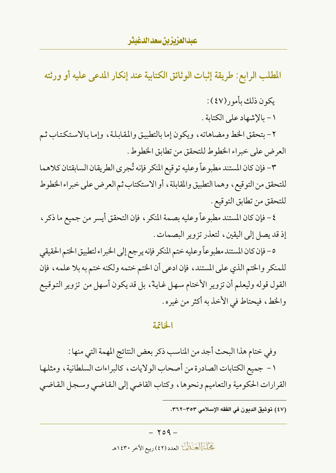المطلب الرابع: طريقة إثبات الوثائق الكتابية عند إنكار المدعى عليه أو ورثته

يكون ذلك بأمور(٤٧):

١ - بالإشهاد على الكتابة .

٢- بتحقق الخط ومضاهاته، ويكون إما بالتطبيق والمقابلة، وإما بالاستكتاب ثم العرض على خبراء الخطوط للتحقق من تطابق الخطوط .

٣- فإن كان المستند مطبوعاً وعليه توقيع المنكر فإنه تُجرى الطريقان السابقتان كلاهما للتحقق من التوقيع، وهما التطبيق والمقابلة، أو الاستكتاب ثم العرض على خبراء الخطوط للتحقق من تطابق التوقيع .

٤- فإن كان المستند مطبوعاً وعليه بصمة المنكر ، فإن التحقق أيسر من جميع ما ذكر ، إذ قد يصل إلى اليقين، لتعذر تزوير البصمات.

٥- فإن كان المستند مطبوعاً وعليه ختم المنكر فإنه يرجع إلى الخبراء لتطبيق الختم الحقيقي للمنكر والختم الذي على المستند، فإن ادعى أن الختم ختمه ولكنه ختم به بلا علمه، فإن القول قوله وليعلم أن تزوير الأختام سهل غايةً، بل قد يكون أسهل من تزوير التوقيع والخط، فيحتاط في الأخذ به أكثر من غيره.

#### الخاتمة

وفي ختام هذا البحث أجد من المناسب ذكر بعض النتائج المهمة التي منها : ١- جميع الكتابات الصادرة من أصحاب الولايات، كالبراءات السلطانية، ومثلها القرارات الحكومية والتعاميم ونحوها، وكتاب القاضي إلى القاضي وسجل القاضي

(٤٧) توثيق الديون في الفقه الإسلامي ٣٥٣–٣٦٢.